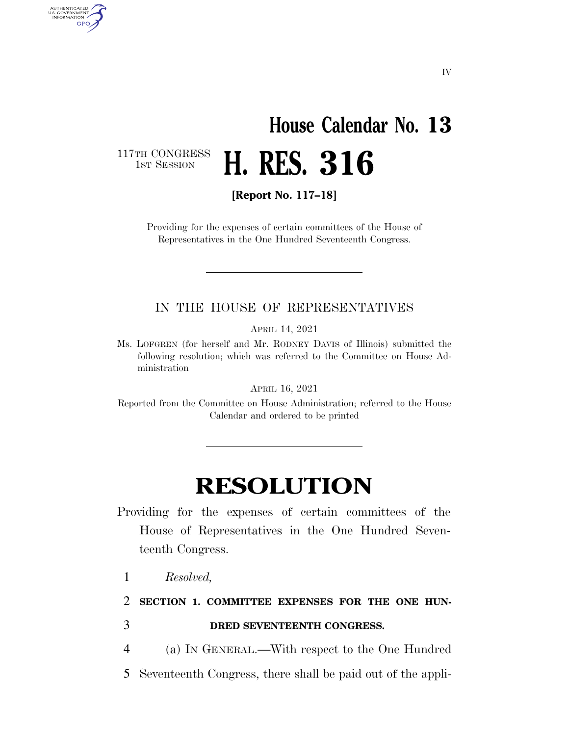## **House Calendar No. 13 H. RES. 316**

117TH CONGRESS<br>1st Session

AUTHENTICATED<br>U.S. GOVERNMENT<br>INFORMATION GPO

**[Report No. 117–18]** 

Providing for the expenses of certain committees of the House of Representatives in the One Hundred Seventeenth Congress.

#### IN THE HOUSE OF REPRESENTATIVES

APRIL 14, 2021

Ms. LOFGREN (for herself and Mr. RODNEY DAVIS of Illinois) submitted the following resolution; which was referred to the Committee on House Administration

APRIL 16, 2021

Reported from the Committee on House Administration; referred to the House Calendar and ordered to be printed

### **RESOLUTION**

Providing for the expenses of certain committees of the House of Representatives in the One Hundred Seventeenth Congress.

1 *Resolved,* 

2 **SECTION 1. COMMITTEE EXPENSES FOR THE ONE HUN-**3 **DRED SEVENTEENTH CONGRESS.** 

4 (a) IN GENERAL.—With respect to the One Hundred

5 Seventeenth Congress, there shall be paid out of the appli-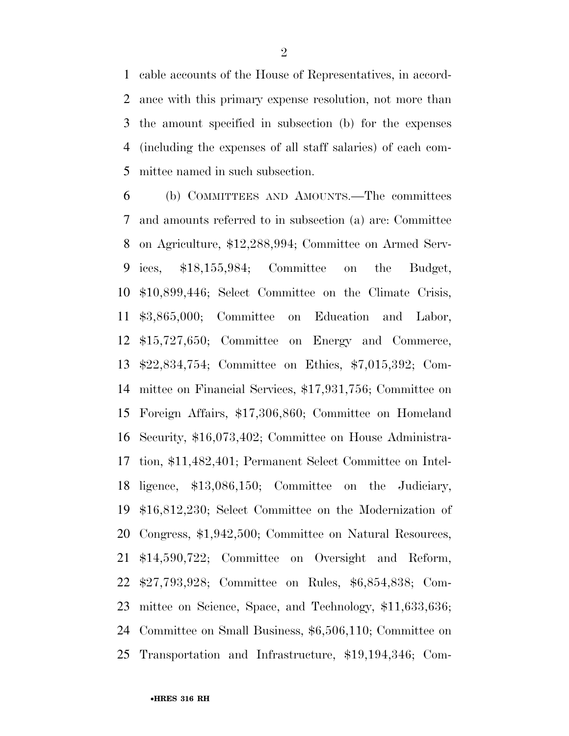cable accounts of the House of Representatives, in accord- ance with this primary expense resolution, not more than the amount specified in subsection (b) for the expenses (including the expenses of all staff salaries) of each com-mittee named in such subsection.

 (b) COMMITTEES AND AMOUNTS.—The committees and amounts referred to in subsection (a) are: Committee on Agriculture, \$12,288,994; Committee on Armed Serv- ices, \$18,155,984; Committee on the Budget, \$10,899,446; Select Committee on the Climate Crisis, \$3,865,000; Committee on Education and Labor, \$15,727,650; Committee on Energy and Commerce, \$22,834,754; Committee on Ethics, \$7,015,392; Com- mittee on Financial Services, \$17,931,756; Committee on Foreign Affairs, \$17,306,860; Committee on Homeland Security, \$16,073,402; Committee on House Administra- tion, \$11,482,401; Permanent Select Committee on Intel- ligence, \$13,086,150; Committee on the Judiciary, \$16,812,230; Select Committee on the Modernization of Congress, \$1,942,500; Committee on Natural Resources, \$14,590,722; Committee on Oversight and Reform, \$27,793,928; Committee on Rules, \$6,854,838; Com- mittee on Science, Space, and Technology, \$11,633,636; Committee on Small Business, \$6,506,110; Committee on Transportation and Infrastructure, \$19,194,346; Com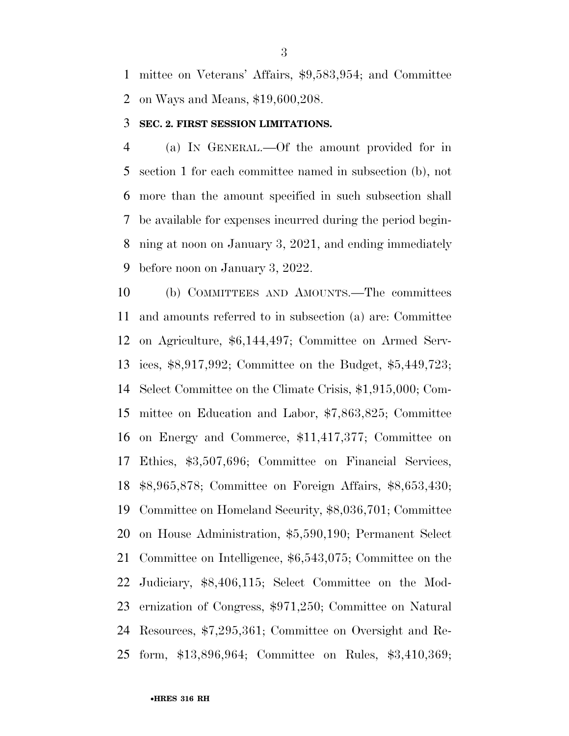mittee on Veterans' Affairs, \$9,583,954; and Committee on Ways and Means, \$19,600,208.

#### **SEC. 2. FIRST SESSION LIMITATIONS.**

 (a) IN GENERAL.—Of the amount provided for in section 1 for each committee named in subsection (b), not more than the amount specified in such subsection shall be available for expenses incurred during the period begin- ning at noon on January 3, 2021, and ending immediately before noon on January 3, 2022.

 (b) COMMITTEES AND AMOUNTS.—The committees and amounts referred to in subsection (a) are: Committee on Agriculture, \$6,144,497; Committee on Armed Serv- ices, \$8,917,992; Committee on the Budget, \$5,449,723; Select Committee on the Climate Crisis, \$1,915,000; Com- mittee on Education and Labor, \$7,863,825; Committee on Energy and Commerce, \$11,417,377; Committee on Ethics, \$3,507,696; Committee on Financial Services, \$8,965,878; Committee on Foreign Affairs, \$8,653,430; Committee on Homeland Security, \$8,036,701; Committee on House Administration, \$5,590,190; Permanent Select Committee on Intelligence, \$6,543,075; Committee on the Judiciary, \$8,406,115; Select Committee on the Mod- ernization of Congress, \$971,250; Committee on Natural Resources, \$7,295,361; Committee on Oversight and Re-form, \$13,896,964; Committee on Rules, \$3,410,369;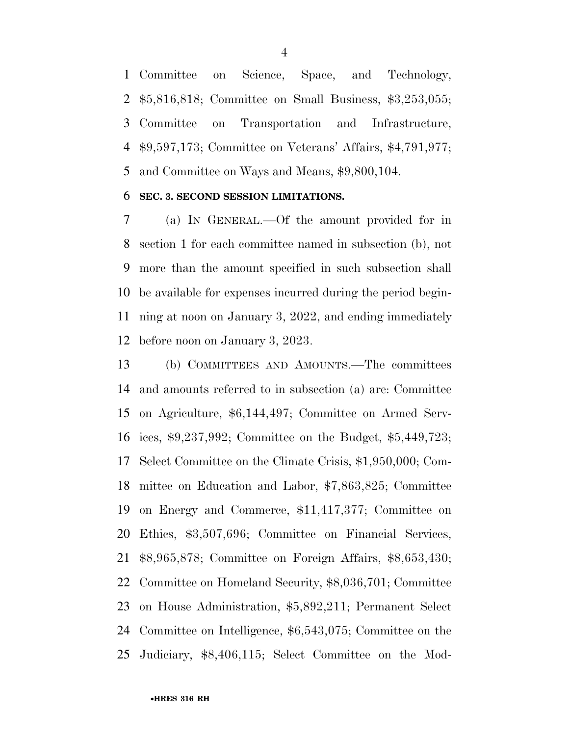Committee on Science, Space, and Technology, \$5,816,818; Committee on Small Business, \$3,253,055; Committee on Transportation and Infrastructure, \$9,597,173; Committee on Veterans' Affairs, \$4,791,977; and Committee on Ways and Means, \$9,800,104.

#### **SEC. 3. SECOND SESSION LIMITATIONS.**

 (a) IN GENERAL.—Of the amount provided for in section 1 for each committee named in subsection (b), not more than the amount specified in such subsection shall be available for expenses incurred during the period begin- ning at noon on January 3, 2022, and ending immediately before noon on January 3, 2023.

 (b) COMMITTEES AND AMOUNTS.—The committees and amounts referred to in subsection (a) are: Committee on Agriculture, \$6,144,497; Committee on Armed Serv- ices, \$9,237,992; Committee on the Budget, \$5,449,723; Select Committee on the Climate Crisis, \$1,950,000; Com- mittee on Education and Labor, \$7,863,825; Committee on Energy and Commerce, \$11,417,377; Committee on Ethics, \$3,507,696; Committee on Financial Services, \$8,965,878; Committee on Foreign Affairs, \$8,653,430; Committee on Homeland Security, \$8,036,701; Committee on House Administration, \$5,892,211; Permanent Select Committee on Intelligence, \$6,543,075; Committee on the Judiciary, \$8,406,115; Select Committee on the Mod-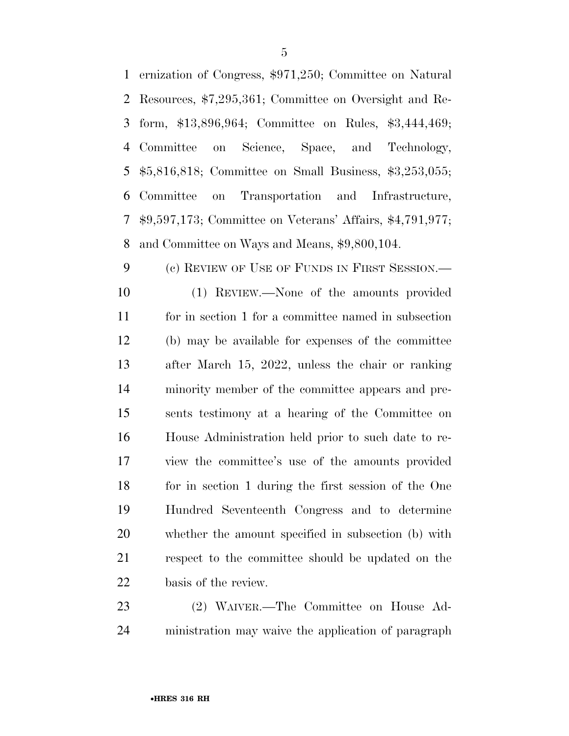|   | 1 ernization of Congress, \$971,250; Committee on Natural                       |
|---|---------------------------------------------------------------------------------|
|   | 2 Resources, \$7,295,361; Committee on Oversight and Re-                        |
|   | 3 form, \$13,896,964; Committee on Rules, \$3,444,469;                          |
|   | 4 Committee on Science, Space, and Technology,                                  |
|   | 5 \$5,816,818; Committee on Small Business, \$3,253,055;                        |
|   | 6 Committee on Transportation and Infrastructure,                               |
|   | 7 \$9,597,173; Committee on Veterans' Affairs, \$4,791,977;                     |
| 8 | and Committee on Ways and Means, \$9,800,104.                                   |
|   | $9 \left( \frac{1}{2} \right)$<br>(c) REVIEW OF USE OF FUNDS IN FIRST SESSION.— |

 (1) REVIEW.—None of the amounts provided for in section 1 for a committee named in subsection (b) may be available for expenses of the committee after March 15, 2022, unless the chair or ranking minority member of the committee appears and pre- sents testimony at a hearing of the Committee on House Administration held prior to such date to re- view the committee's use of the amounts provided for in section 1 during the first session of the One Hundred Seventeenth Congress and to determine whether the amount specified in subsection (b) with respect to the committee should be updated on the basis of the review.

 (2) WAIVER.—The Committee on House Ad-ministration may waive the application of paragraph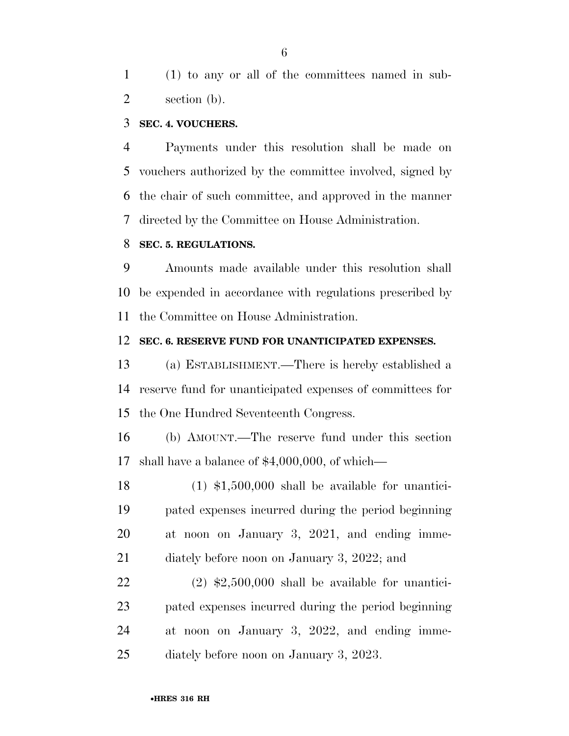(1) to any or all of the committees named in sub-section (b).

#### **SEC. 4. VOUCHERS.**

 Payments under this resolution shall be made on vouchers authorized by the committee involved, signed by the chair of such committee, and approved in the manner directed by the Committee on House Administration.

#### **SEC. 5. REGULATIONS.**

 Amounts made available under this resolution shall be expended in accordance with regulations prescribed by the Committee on House Administration.

#### **SEC. 6. RESERVE FUND FOR UNANTICIPATED EXPENSES.**

 (a) ESTABLISHMENT.—There is hereby established a reserve fund for unanticipated expenses of committees for the One Hundred Seventeenth Congress.

 (b) AMOUNT.—The reserve fund under this section shall have a balance of \$4,000,000, of which—

 (1) \$1,500,000 shall be available for unantici- pated expenses incurred during the period beginning at noon on January 3, 2021, and ending imme-diately before noon on January 3, 2022; and

 (2)  $\text{$}2,500,000$  shall be available for unantici- pated expenses incurred during the period beginning at noon on January 3, 2022, and ending imme-diately before noon on January 3, 2023.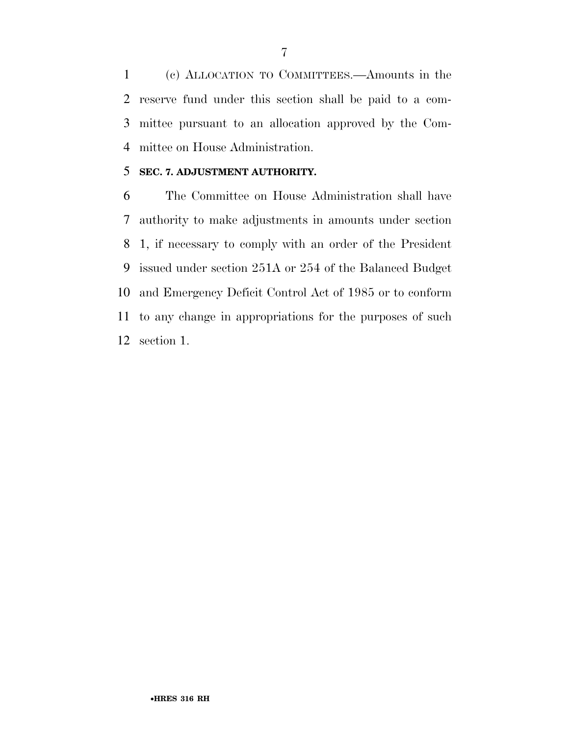(c) ALLOCATION TO COMMITTEES.—Amounts in the reserve fund under this section shall be paid to a com- mittee pursuant to an allocation approved by the Com-mittee on House Administration.

#### **SEC. 7. ADJUSTMENT AUTHORITY.**

 The Committee on House Administration shall have authority to make adjustments in amounts under section 1, if necessary to comply with an order of the President issued under section 251A or 254 of the Balanced Budget and Emergency Deficit Control Act of 1985 or to conform to any change in appropriations for the purposes of such section 1.